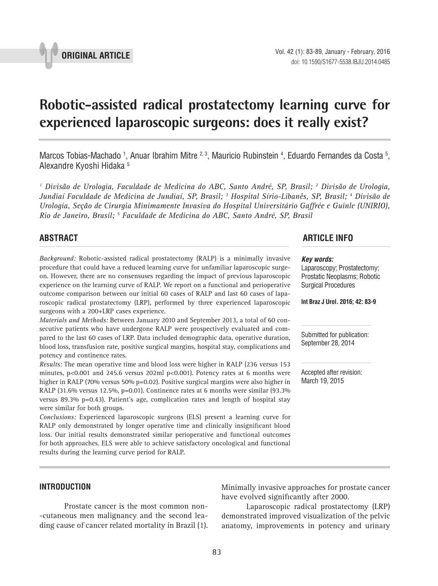

# **Robotic-assisted radical prostatectomy learning curve for experienced laparoscopic surgeons: does it really exist? \_\_\_\_\_\_\_\_\_\_\_\_\_\_\_\_\_\_\_\_\_\_\_\_\_\_\_\_\_\_\_\_\_\_\_\_\_\_\_\_\_\_\_\_\_\_\_**

Marcos Tobias-Machado <sup>1</sup>, Anuar Ibrahim Mitre <sup>2, 3</sup>, Mauricio Rubinstein <sup>4</sup>, Eduardo Fernandes da Costa <sup>5</sup>, Alexandre Kyoshi Hidaka 5

*1 Divisão de Urologia, Faculdade de Medicina do ABC, Santo André, SP, Brasil; 2 Divisão de Urologia, Jundiaí Faculdade de Medicina de Jundiaí, SP, Brasil; 3 Hospital Sírio-Libanês, SP, Brasil; 4 Divisão de Urologia, Seção de Cirurgia Minimamente Invasiva do Hospital Universitário Gaffrée e Guinle (UNIRIO), Rio de Janeiro, Brasil; 5 Faculdade de Medicina do ABC, Santo André, SP, Brasil*

*Background:* Robotic-assisted radical prostatectomy (RALP) is a minimally invasive procedure that could have a reduced learning curve for unfamiliar laparoscopic surgeon. However, there are no consensuses regarding the impact of previous laparoscopic experience on the learning curve of RALP. We report on a functional and perioperative outcome comparison between our initial 60 cases of RALP and last 60 cases of laparoscopic radical prostatectomy (LRP), performed by three experienced laparoscopic surgeons with a 200+LRP cases experience.

*Materials and Methods:* Between January 2010 and September 2013, a total of 60 consecutive patients who have undergone RALP were prospectively evaluated and compared to the last 60 cases of LRP. Data included demographic data, operative duration, blood loss, transfusion rate, positive surgical margins, hospital stay, complications and potency and continence rates.

*Results:* The mean operative time and blood loss were higher in RALP (236 versus 153 minutes,  $p<0.001$  and 245.6 versus 202ml  $p<0.001$ ). Potency rates at 6 months were higher in RALP (70% versus 50% p=0.02). Positive surgical margins were also higher in RALP (31.6% versus 12.5%, p=0.01). Continence rates at 6 months were similar (93.3% versus 89.3% p=0.43). Patient's age, complication rates and length of hospital stay were similar for both groups.

*Conclusions:* Experienced laparoscopic surgeons (ELS) present a learning curve for RALP only demonstrated by longer operative time and clinically insignificant blood loss. Our initial results demonstrated similar perioperative and functional outcomes for both approaches. ELS were able to achieve satisfactory oncological and functional results during the learning curve period for RALP.

## **ABSTRACT ARTICLE INFO** *\_\_\_\_\_\_\_\_\_\_\_\_\_\_\_\_\_\_\_\_\_\_\_\_\_\_\_\_\_\_\_\_\_\_\_\_\_\_\_\_\_\_\_\_\_\_\_\_\_\_\_\_\_\_\_\_\_\_\_\_\_\_ \_\_\_\_\_\_\_\_\_\_\_\_\_\_\_\_\_\_\_\_\_\_*

#### *Key words:*

Laparoscopy; Prostatectomy; Prostatic Neoplasms; Robotic Surgical Procedures

**Int Braz J Urol. 2016; 42: 83-9**

Submitted for publication: September 28, 2014

Accepted after revision: March 19, 2015

#### **INTRODUCTION**

Prostate cancer is the most common non- -cutaneous men malignancy and the second leading cause of cancer related mortality in Brazil (1). Minimally invasive approaches for prostate cancer have evolved significantly after 2000.

Laparoscopic radical prostatectomy (LRP) demonstrated improved visualization of the pelvic anatomy, improvements in potency and urinary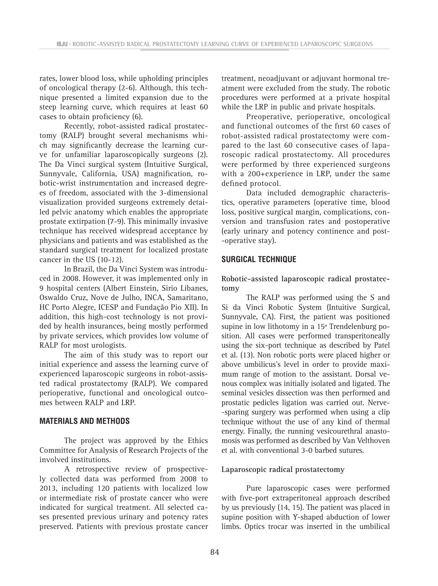rates, lower blood loss, while upholding principles of oncological therapy (2-6). Although, this technique presented a limited expansion due to the steep learning curve, which requires at least 60 cases to obtain proficiency (6).

Recently, robot-assisted radical prostatectomy (RALP) brought several mechanisms which may significantly decrease the learning curve for unfamiliar laparoscopically surgeons (2). The Da Vinci surgical system (Intuitive Surgical, Sunnyvale, California, USA) magnification, robotic-wrist instrumentation and increased degrees of freedom, associated with the 3-dimensional visualization provided surgeons extremely detailed pelvic anatomy which enables the appropriate prostate extirpation (7-9). This minimally invasive technique has received widespread acceptance by physicians and patients and was established as the standard surgical treatment for localized prostate cancer in the US (10-12).

In Brazil, the Da Vinci System was introduced in 2008. However, it was implemented only in 9 hospital centers (Albert Einstein, Sirio Libanes, Oswaldo Cruz, Nove de Julho, INCA, Samaritano, HC Porto Alegre, ICESP and Fundação Pio XII). In addition, this high-cost technology is not provided by health insurances, being mostly performed by private services, which provides low volume of RALP for most urologists.

The aim of this study was to report our initial experience and assess the learning curve of experienced laparoscopic surgeons in robot-assisted radical prostatectomy (RALP). We compared perioperative, functional and oncological outcomes between RALP and LRP.

#### **MATERIALS AND METHODS**

The project was approved by the Ethics Committee for Analysis of Research Projects of the involved institutions.

A retrospective review of prospectively collected data was performed from 2008 to 2013, including 120 patients with localized low or intermediate risk of prostate cancer who were indicated for surgical treatment. All selected cases presented previous urinary and potency rates preserved. Patients with previous prostate cancer

treatment, neoadjuvant or adjuvant hormonal treatment were excluded from the study. The robotic procedures were performed at a private hospital while the LRP in public and private hospitals.

Preoperative, perioperative, oncological and functional outcomes of the first 60 cases of robot-assisted radical prostatectomy were compared to the last 60 consecutive cases of laparoscopic radical prostatectomy. All procedures were performed by three experienced surgeons with a 200+experience in LRP, under the same defined protocol.

Data included demographic characteristics, operative parameters (operative time, blood loss, positive surgical margin, complications, conversion and transfusion rates and postoperative (early urinary and potency continence and post- -operative stay).

### **SURGICAL TECHNIQUE**

**Robotic-assisted laparoscopic radical prostatectomy**

The RALP was performed using the S and Si da Vinci Robotic System (Intuitive Surgical, Sunnyvale, CA). First, the patient was positioned supine in low lithotomy in a 15º Trendelenburg position. All cases were performed transperitoneally using the six-port technique as described by Patel et al. (13). Non robotic ports were placed higher or above umbilicus's level in order to provide maximum range of motion to the assistant. Dorsal venous complex was initially isolated and ligated. The seminal vesicles dissection was then performed and prostatic pedicles ligation was carried out. Nerve- -sparing surgery was performed when using a clip technique without the use of any kind of thermal energy. Finally, the running vesicourethral anastomosis was performed as described by Van Velthoven et al. with conventional 3-0 barbed sutures.

#### **Laparoscopic radical prostatectomy**

Pure laparoscopic cases were performed with five-port extraperitoneal approach described by us previously (14, 15). The patient was placed in supine position with Y-shaped abduction of lower limbs. Optics trocar was inserted in the umbilical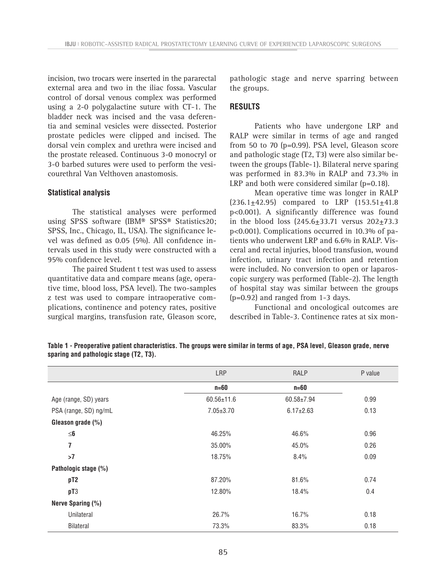incision, two trocars were inserted in the pararectal external area and two in the iliac fossa. Vascular control of dorsal venous complex was performed using a 2-0 polygalactine suture with CT-1. The bladder neck was incised and the vasa deferentia and seminal vesicles were dissected. Posterior prostate pedicles were clipped and incised. The dorsal vein complex and urethra were incised and the prostate released. Continuous 3-0 monocryl or 3-0 barbed sutures were used to perform the vesicourethral Van Velthoven anastomosis.

#### **Statistical analysis**

The statistical analyses were performed using SPSS software (IBM® SPSS® Statistics20; SPSS, Inc., Chicago, IL, USA). The significance level was defined as 0.05 (5%). All confidence intervals used in this study were constructed with a 95% confidence level.

The paired Student t test was used to assess quantitative data and compare means (age, operative time, blood loss, PSA level). The two-samples z test was used to compare intraoperative complications, continence and potency rates, positive surgical margins, transfusion rate, Gleason score, pathologic stage and nerve sparring between the groups.

#### **RESULTS**

Patients who have undergone LRP and RALP were similar in terms of age and ranged from 50 to 70 (p=0.99). PSA level, Gleason score and pathologic stage (T2, T3) were also similar between the groups (Table-1). Bilateral nerve sparing was performed in 83.3% in RALP and 73.3% in LRP and both were considered similar (p=0.18).

Mean operative time was longer in RALP  $(236.1 \pm 42.95)$  compared to LRP  $(153.51 \pm 41.8)$ p<0.001). A significantly difference was found in the blood loss  $(245.6 \pm 33.71)$  versus  $202 \pm 73.3$ p<0.001). Complications occurred in 10.3% of patients who underwent LRP and 6.6% in RALP. Visceral and rectal injuries, blood transfusion, wound infection, urinary tract infection and retention were included. No conversion to open or laparoscopic surgery was performed (Table-2). The length of hospital stay was similar between the groups (p=0.92) and ranged from 1-3 days.

Functional and oncological outcomes are described in Table-3. Continence rates at six mon-

|                       | LRP              | RALP            | P value |
|-----------------------|------------------|-----------------|---------|
|                       | $n=60$           | $n=60$          |         |
| Age (range, SD) years | $60.56 \pm 11.6$ | 60.58±7.94      | 0.99    |
| PSA (range, SD) ng/mL | $7.05 \pm 3.70$  | $6.17 \pm 2.63$ | 0.13    |
| Gleason grade $(\%)$  |                  |                 |         |
| $\leq$ 6              | 46.25%           | 46.6%           | 0.96    |
| 7                     | 35.00%           | 45.0%           | 0.26    |
| >7                    | 18.75%           | 8.4%            | 0.09    |
| Pathologic stage (%)  |                  |                 |         |
| pT <sub>2</sub>       | 87.20%           | 81.6%           | 0.74    |
| pT3                   | 12.80%           | 18.4%           | 0.4     |
| Nerve Sparing (%)     |                  |                 |         |
| Unilateral            | 26.7%            | 16.7%           | 0.18    |
| <b>Bilateral</b>      | 73.3%            | 83.3%           | 0.18    |

**Table 1 - Preoperative patient characteristics. The groups were similar in terms of age, PSA level, Gleason grade, nerve sparing and pathologic stage (T2, T3).**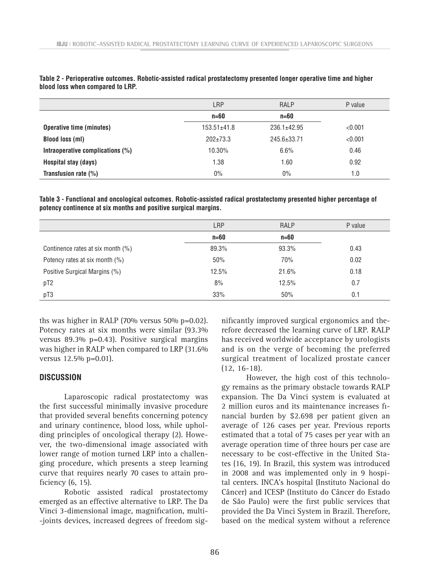|                                  | LRP               | <b>RALP</b>     | P value |
|----------------------------------|-------------------|-----------------|---------|
|                                  | $n=60$            | $n=60$          |         |
| <b>Operative time (minutes)</b>  | $153.51 \pm 41.8$ | $236.1 + 42.95$ | < 0.001 |
| <b>Blood loss (ml)</b>           | $202 \pm 73.3$    | 245.6±33.71     | < 0.001 |
| Intraoperative complications (%) | 10.30%            | 6.6%            | 0.46    |
| Hospital stay (days)             | 1.38              | 1.60            | 0.92    |
| Transfusion rate $(\%)$          | $0\%$             | $0\%$           | 1.0     |

**Table 2 - Perioperative outcomes. Robotic-assisted radical prostatectomy presented longer operative time and higher blood loss when compared to LRP.**

**Table 3 - Functional and oncological outcomes. Robotic-assisted radical prostatectomy presented higher percentage of potency continence at six months and positive surgical margins.**

|                                   | <b>LRP</b> | <b>RALP</b> | P value |
|-----------------------------------|------------|-------------|---------|
|                                   | $n=60$     | $n=60$      |         |
| Continence rates at six month (%) | 89.3%      | 93.3%       | 0.43    |
| Potency rates at six month (%)    | 50%        | 70%         | 0.02    |
| Positive Surgical Margins (%)     | 12.5%      | 21.6%       | 0.18    |
| pT <sub>2</sub>                   | 8%         | 12.5%       | 0.7     |
| pT3                               | 33%        | 50%         | 0.1     |

ths was higher in RALP (70% versus 50% p=0.02). Potency rates at six months were similar (93.3% versus 89.3% p=0.43). Positive surgical margins was higher in RALP when compared to LRP (31.6% versus 12.5% p=0.01).

## **DISCUSSION**

Laparoscopic radical prostatectomy was the first successful minimally invasive procedure that provided several benefits concerning potency and urinary continence, blood loss, while upholding principles of oncological therapy (2). However, the two-dimensional image associated with lower range of motion turned LRP into a challenging procedure, which presents a steep learning curve that requires nearly 70 cases to attain proficiency (6, 15).

Robotic assisted radical prostatectomy emerged as an effective alternative to LRP. The Da Vinci 3-dimensional image, magnification, multi- -joints devices, increased degrees of freedom sig-

nificantly improved surgical ergonomics and therefore decreased the learning curve of LRP. RALP has received worldwide acceptance by urologists and is on the verge of becoming the preferred surgical treatment of localized prostate cancer (12, 16-18).

However, the high cost of this technology remains as the primary obstacle towards RALP expansion. The Da Vinci system is evaluated at 2 million euros and its maintenance increases financial burden by \$2.698 per patient given an average of 126 cases per year. Previous reports estimated that a total of 75 cases per year with an average operation time of three hours per case are necessary to be cost-effective in the United States (16, 19). In Brazil, this system was introduced in 2008 and was implemented only in 9 hospital centers. INCA's hospital (Instituto Nacional do Câncer) and ICESP (Instituto do Câncer do Estado de São Paulo) were the first public services that provided the Da Vinci System in Brazil. Therefore, based on the medical system without a reference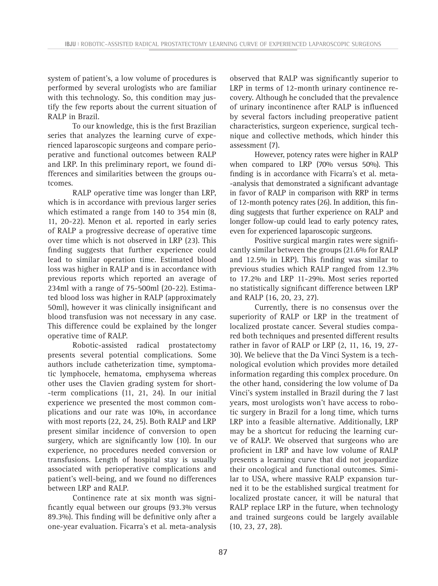system of patient's, a low volume of procedures is performed by several urologists who are familiar with this technology. So, this condition may justify the few reports about the current situation of RALP in Brazil.

To our knowledge, this is the first Brazilian series that analyzes the learning curve of experienced laparoscopic surgeons and compare perioperative and functional outcomes between RALP and LRP. In this preliminary report, we found differences and similarities between the groups outcomes.

RALP operative time was longer than LRP, which is in accordance with previous larger series which estimated a range from 140 to 354 min (8, 11, 20-22). Menon et al. reported in early series of RALP a progressive decrease of operative time over time which is not observed in LRP (23). This finding suggests that further experience could lead to similar operation time. Estimated blood loss was higher in RALP and is in accordance with previous reports which reported an average of 234ml with a range of 75-500ml (20-22). Estimated blood loss was higher in RALP (approximately 50ml), however it was clinically insignificant and blood transfusion was not necessary in any case. This difference could be explained by the longer operative time of RALP.

Robotic-assisted radical prostatectomy presents several potential complications. Some authors include catheterization time, symptomatic lymphocele, hematoma, emphysema whereas other uses the Clavien grading system for short- -term complications (11, 21, 24). In our initial experience we presented the most common complications and our rate was 10%, in accordance with most reports (22, 24, 25). Both RALP and LRP present similar incidence of conversion to open surgery, which are significantly low (10). In our experience, no procedures needed conversion or transfusions. Length of hospital stay is usually associated with perioperative complications and patient's well-being, and we found no differences between LRP and RALP.

Continence rate at six month was significantly equal between our groups (93.3% versus 89.3%). This finding will be definitive only after a one-year evaluation. Ficarra's et al. meta-analysis observed that RALP was significantly superior to LRP in terms of 12-month urinary continence recovery. Although he concluded that the prevalence of urinary incontinence after RALP is influenced by several factors including preoperative patient characteristics, surgeon experience, surgical technique and collective methods, which hinder this assessment (7).

However, potency rates were higher in RALP when compared to LRP (70% versus 50%). This finding is in accordance with Ficarra's et al. meta- -analysis that demonstrated a significant advantage in favor of RALP in comparison with RRP in terms of 12-month potency rates (26). In addition, this finding suggests that further experience on RALP and longer follow-up could lead to early potency rates, even for experienced laparoscopic surgeons.

Positive surgical margin rates were significantly similar between the groups (21.6% for RALP and 12.5% in LRP). This finding was similar to previous studies which RALP ranged from 12.3% to 17.2% and LRP 11-29%. Most series reported no statistically significant difference between LRP and RALP (16, 20, 23, 27).

Currently, there is no consensus over the superiority of RALP or LRP in the treatment of localized prostate cancer. Several studies compared both techniques and presented different results rather in favor of RALP or LRP (2, 11, 16, 19, 27- 30). We believe that the Da Vinci System is a technological evolution which provides more detailed information regarding this complex procedure. On the other hand, considering the low volume of Da Vinci's system installed in Brazil during the 7 last years, most urologists won't have access to robotic surgery in Brazil for a long time, which turns LRP into a feasible alternative. Additionally, LRP may be a shortcut for reducing the learning curve of RALP. We observed that surgeons who are proficient in LRP and have low volume of RALP presents a learning curve that did not jeopardize their oncological and functional outcomes. Similar to USA, where massive RALP expansion turned it to be the established surgical treatment for localized prostate cancer, it will be natural that RALP replace LRP in the future, when technology and trained surgeons could be largely available (10, 23, 27, 28).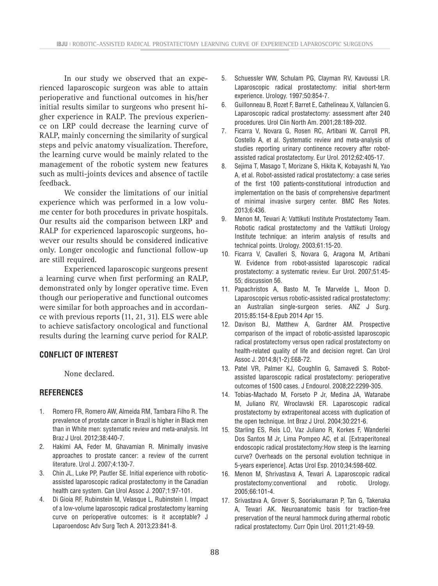In our study we observed that an experienced laparoscopic surgeon was able to attain perioperative and functional outcomes in his/her initial results similar to surgeons who present higher experience in RALP. The previous experience on LRP could decrease the learning curve of RALP, mainly concerning the similarity of surgical steps and pelvic anatomy visualization. Therefore, the learning curve would be mainly related to the management of the robotic system new features such as multi-joints devices and absence of tactile feedback.

We consider the limitations of our initial experience which was performed in a low volume center for both procedures in private hospitals. Our results aid the comparison between LRP and RALP for experienced laparoscopic surgeons, however our results should be considered indicative only. Longer oncologic and functional follow-up are still required.

Experienced laparoscopic surgeons present a learning curve when first performing an RALP, demonstrated only by longer operative time. Even though our perioperative and functional outcomes were similar for both approaches and in accordance with previous reports (11, 21, 31). ELS were able to achieve satisfactory oncological and functional results during the learning curve period for RALP.

#### **CONFLICT OF INTEREST**

None declared.

#### **REFERENCES**

- 1. Romero FR, Romero AW, Almeida RM, Tambara Filho R. The prevalence of prostate cancer in Brazil is higher in Black men than in White men: systematic review and meta-analysis. Int Braz J Urol. 2012;38:440-7.
- 2. Hakimi AA, Feder M, Ghavamian R. Minimally invasive approaches to prostate cancer: a review of the current literature. Urol J. 2007;4:130-7.
- 3. Chin JL, Luke PP, Pautler SE. Initial experience with roboticassisted laparoscopic radical prostatectomy in the Canadian health care system. Can Urol Assoc J. 2007;1:97-101.
- 4. Di Gioia RF, Rubinstein M, Velasque L, Rubinstein I. Impact of a low-volume laparoscopic radical prostatectomy learning curve on perioperative outcomes: is it acceptable? J Laparoendosc Adv Surg Tech A. 2013;23:841-8.
- 5. Schuessler WW, Schulam PG, Clayman RV, Kavoussi LR. Laparoscopic radical prostatectomy: initial short-term experience. Urology. 1997;50:854-7.
- 6. Guillonneau B, Rozet F, Barret E, Cathelineau X, Vallancien G. Laparoscopic radical prostatectomy: assessment after 240 procedures. Urol Clin North Am. 2001;28:189-202.
- 7. Ficarra V, Novara G, Rosen RC, Artibani W, Carroll PR, Costello A, et al. Systematic review and meta-analysis of studies reporting urinary continence recovery after robotassisted radical prostatectomy. Eur Urol. 2012;62:405-17.
- 8. Sejima T, Masago T, Morizane S, Hikita K, Kobayashi N, Yao A, et al. Robot-assisted radical prostatectomy: a case series of the first 100 patients-constitutional introduction and implementation on the basis of comprehensive department of minimal invasive surgery center. BMC Res Notes. 2013;6:436.
- 9. Menon M, Tewari A; Vattikuti Institute Prostatectomy Team. Robotic radical prostatectomy and the Vattikuti Urology Institute technique: an interim analysis of results and technical points. Urology. 2003;61:15-20.
- 10. Ficarra V, Cavalleri S, Novara G, Aragona M, Artibani W. Evidence from robot-assisted laparoscopic radical prostatectomy: a systematic review. Eur Urol. 2007;51:45- 55; discussion 56.
- 11. Papachristos A, Basto M, Te Marvelde L, Moon D. Laparoscopic versus robotic-assisted radical prostatectomy: an Australian single-surgeon series. ANZ J Surg. 2015;85:154-8.Epub 2014 Apr 15.
- 12. Davison BJ, Matthew A, Gardner AM. Prospective comparison of the impact of robotic-assisted laparoscopic radical prostatectomy versus open radical prostatectomy on health-related quality of life and decision regret. Can Urol Assoc J. 2014;8(1-2):E68-72.
- 13. Patel VR, Palmer KJ, Coughlin G, Samavedi S. Robotassisted laparoscopic radical prostatectomy: perioperative outcomes of 1500 cases. J Endourol. 2008;22:2299-305.
- 14. Tobias-Machado M, Forseto P Jr, Medina JA, Watanabe M, Juliano RV, Wroclawski ER. Laparoscopic radical prostatectomy by extraperitoneal access with duplication of the open technique. Int Braz J Urol. 2004;30:221-6.
- 15. Starling ES, Reis LO, Vaz Juliano R, Korkes F, Wanderlei Dos Santos M Jr, Lima Pompeo AC, et al. [Extraperitoneal endoscopic radical prostatectomy:How steep is the learning curve? Overheads on the personal evolution technique in 5-years experience]. Actas Urol Esp. 2010;34:598-602.
- 16. Menon M, Shrivastava A, Tewari A. Laparoscopic radical prostatectomy:conventional and robotic. Urology. 2005;66:101-4.
- 17. Srivastava A, Grover S, Sooriakumaran P, Tan G, Takenaka A, Tewari AK. Neuroanatomic basis for traction-free preservation of the neural hammock during athermal robotic radical prostatectomy. Curr Opin Urol. 2011;21:49-59.